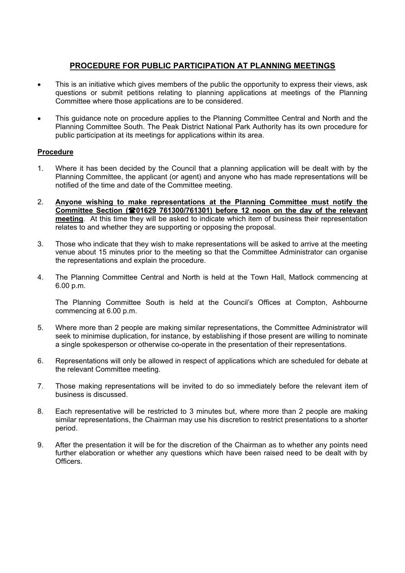## **PROCEDURE FOR PUBLIC PARTICIPATION AT PLANNING MEETINGS**

- This is an initiative which gives members of the public the opportunity to express their views, ask questions or submit petitions relating to planning applications at meetings of the Planning Committee where those applications are to be considered.
- This guidance note on procedure applies to the Planning Committee Central and North and the Planning Committee South. The Peak District National Park Authority has its own procedure for public participation at its meetings for applications within its area.

## **Procedure**

- 1. Where it has been decided by the Council that a planning application will be dealt with by the Planning Committee, the applicant (or agent) and anyone who has made representations will be notified of the time and date of the Committee meeting.
- 2. **Anyone wishing to make representations at the Planning Committee must notify the Committee Section (01629 761300/761301) before 12 noon on the day of the relevant meeting**. At this time they will be asked to indicate which item of business their representation relates to and whether they are supporting or opposing the proposal.
- 3. Those who indicate that they wish to make representations will be asked to arrive at the meeting venue about 15 minutes prior to the meeting so that the Committee Administrator can organise the representations and explain the procedure.
- 4. The Planning Committee Central and North is held at the Town Hall, Matlock commencing at 6.00 p.m.

 The Planning Committee South is held at the Council's Offices at Compton, Ashbourne commencing at 6.00 p.m.

- 5. Where more than 2 people are making similar representations, the Committee Administrator will seek to minimise duplication, for instance, by establishing if those present are willing to nominate a single spokesperson or otherwise co-operate in the presentation of their representations.
- 6. Representations will only be allowed in respect of applications which are scheduled for debate at the relevant Committee meeting.
- 7. Those making representations will be invited to do so immediately before the relevant item of business is discussed.
- 8. Each representative will be restricted to 3 minutes but, where more than 2 people are making similar representations, the Chairman may use his discretion to restrict presentations to a shorter period.
- 9. After the presentation it will be for the discretion of the Chairman as to whether any points need further elaboration or whether any questions which have been raised need to be dealt with by Officers.